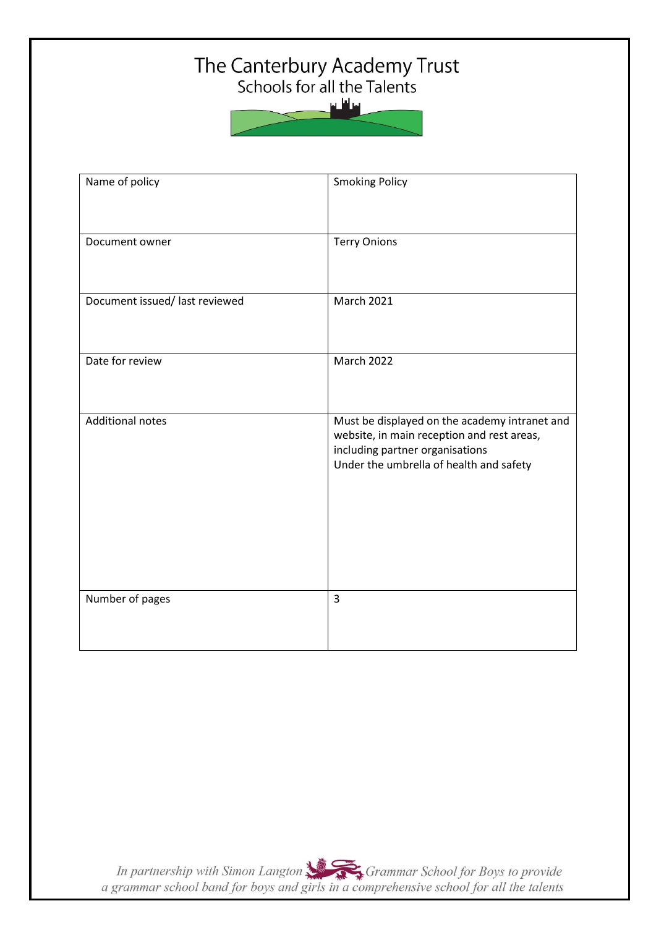# The Canterbury Academy Trust<br>Schools for all the Talents



| Name of policy                 | <b>Smoking Policy</b>                                                                                                                                                     |  |
|--------------------------------|---------------------------------------------------------------------------------------------------------------------------------------------------------------------------|--|
| Document owner                 | <b>Terry Onions</b>                                                                                                                                                       |  |
| Document issued/ last reviewed | <b>March 2021</b>                                                                                                                                                         |  |
| Date for review                | <b>March 2022</b>                                                                                                                                                         |  |
| <b>Additional notes</b>        | Must be displayed on the academy intranet and<br>website, in main reception and rest areas,<br>including partner organisations<br>Under the umbrella of health and safety |  |
| Number of pages                | $\overline{3}$                                                                                                                                                            |  |

In partnership with Simon Langton Sexting Grammar School for Boys to provide<br>a grammar school band for boys and girls in a comprehensive school for all the talents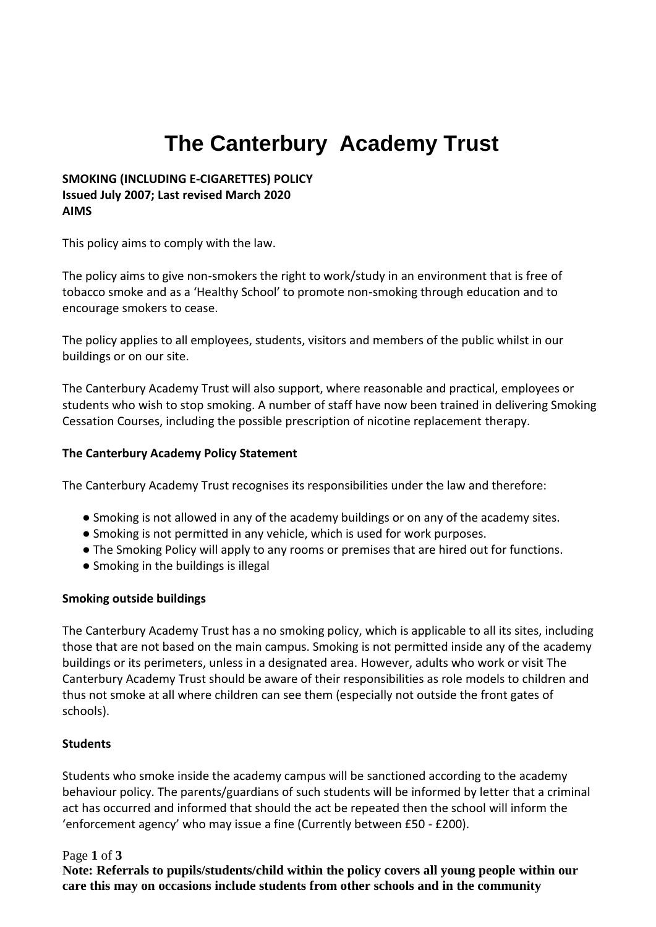# **The Canterbury Academy Trust**

#### **SMOKING (INCLUDING E-CIGARETTES) POLICY Issued July 2007; Last revised March 2020 AIMS**

This policy aims to comply with the law.

The policy aims to give non-smokers the right to work/study in an environment that is free of tobacco smoke and as a 'Healthy School' to promote non-smoking through education and to encourage smokers to cease.

The policy applies to all employees, students, visitors and members of the public whilst in our buildings or on our site.

The Canterbury Academy Trust will also support, where reasonable and practical, employees or students who wish to stop smoking. A number of staff have now been trained in delivering Smoking Cessation Courses, including the possible prescription of nicotine replacement therapy.

#### **The Canterbury Academy Policy Statement**

The Canterbury Academy Trust recognises its responsibilities under the law and therefore:

- Smoking is not allowed in any of the academy buildings or on any of the academy sites.
- Smoking is not permitted in any vehicle, which is used for work purposes.
- The Smoking Policy will apply to any rooms or premises that are hired out for functions.
- Smoking in the buildings is illegal

#### **Smoking outside buildings**

The Canterbury Academy Trust has a no smoking policy, which is applicable to all its sites, including those that are not based on the main campus. Smoking is not permitted inside any of the academy buildings or its perimeters, unless in a designated area. However, adults who work or visit The Canterbury Academy Trust should be aware of their responsibilities as role models to children and thus not smoke at all where children can see them (especially not outside the front gates of schools).

#### **Students**

Students who smoke inside the academy campus will be sanctioned according to the academy behaviour policy. The parents/guardians of such students will be informed by letter that a criminal act has occurred and informed that should the act be repeated then the school will inform the 'enforcement agency' who may issue a fine (Currently between £50 - £200).

#### Page **1** of **3**

**Note: Referrals to pupils/students/child within the policy covers all young people within our care this may on occasions include students from other schools and in the community**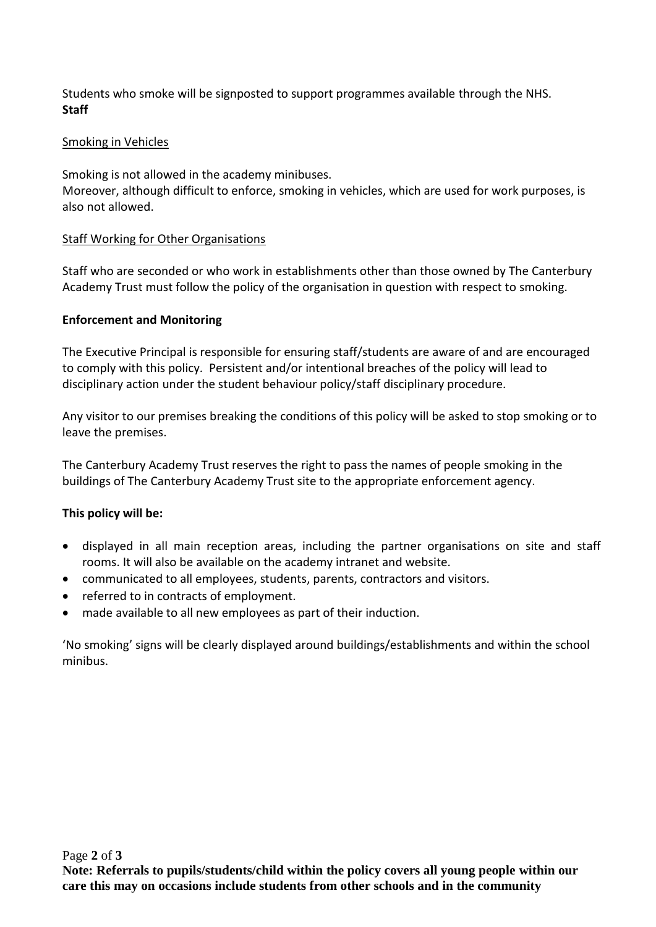Students who smoke will be signposted to support programmes available through the NHS. **Staff**

#### Smoking in Vehicles

Smoking is not allowed in the academy minibuses.

Moreover, although difficult to enforce, smoking in vehicles, which are used for work purposes, is also not allowed.

#### Staff Working for Other Organisations

Staff who are seconded or who work in establishments other than those owned by The Canterbury Academy Trust must follow the policy of the organisation in question with respect to smoking.

#### **Enforcement and Monitoring**

The Executive Principal is responsible for ensuring staff/students are aware of and are encouraged to comply with this policy. Persistent and/or intentional breaches of the policy will lead to disciplinary action under the student behaviour policy/staff disciplinary procedure.

Any visitor to our premises breaking the conditions of this policy will be asked to stop smoking or to leave the premises.

The Canterbury Academy Trust reserves the right to pass the names of people smoking in the buildings of The Canterbury Academy Trust site to the appropriate enforcement agency.

### **This policy will be:**

- displayed in all main reception areas, including the partner organisations on site and staff rooms. It will also be available on the academy intranet and website.
- communicated to all employees, students, parents, contractors and visitors.
- referred to in contracts of employment.
- made available to all new employees as part of their induction.

'No smoking' signs will be clearly displayed around buildings/establishments and within the school minibus.